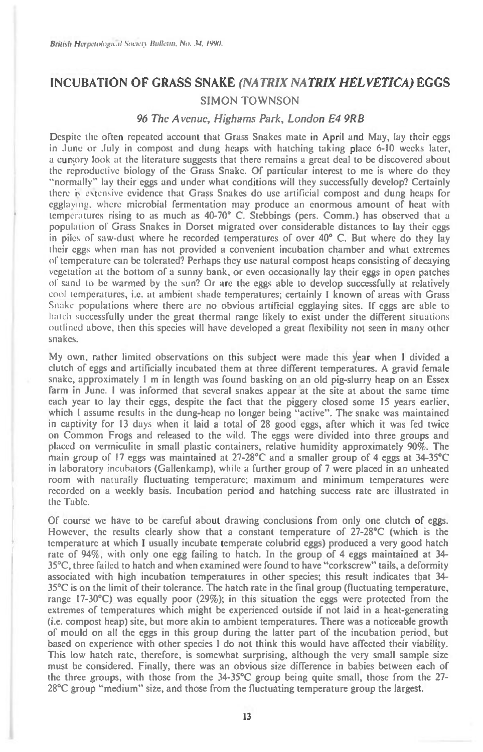## **INCUBATION OF GRASS SNAKE** *(NATRIX NATRIX HELVETICA)* **EGGS SIMON TOWNSON**

## 96 The Avenue, Highams Park, London E4 9RB

Despite the often repeated account that Grass Snakes mate in April and May, lay their eggs in June or July in compost and dung heaps with hatching taking place 6-10 weeks later, a cursory look at the literature suggests that there remains a great deal to be discovered about the reproductive biology of the Grass Snake. Of particular interest to me is where do they "normally" lay their eggs and under what conditions will they successfully develop? Certainly there is estensive evidence that Grass Snakes do use artificial compost and dung heaps for egglaying, where microbial fermentation may produce an enormous amount of heat with temperatures rising to as much as 40-70° C. Stebbings (pers. Comm.) has observed that a population of Grass Snakes in Dorset migrated over considerable distances to lay their eggs in piles of saw-dust where he recorded temperatures of over 40°C. But where do they lay their eggs when man has not provided a convenient incubation chamber and what extremes of temperature can be tolerated? Perhaps they use natural compost hcaps consisting of decaying vegetation at the bottom of a sunny bank, or even occasionally lay their eggs in open patches of sand to be warmed by the sun? Or are the eggs able to develop successfully at relatively cool temperatures, i.c. at ambient shade temperatures; certainly I known of areas with Grass Snake populations where there are no obvious artificial egglaying sites. If eggs arc able to hatch successfully under the great thermal range likely to exist under the different situations outlined above, then this species will have developed a great flexibility not seen in many other snakes.

My own, rather limited observations on this subject were made this Year when I divided a clutch of eggs and artificially incubated them at three different temperatures. A gravid female snake, approximately 1 m in length was found basking on an old pig-slurry heap on an Essex farm in June. I was informed that several snakes appear at the site at about the same time each year to lay their eggs, despite the fact that the piggery closed some 15 years earlier, which I assume results in the dung-heap no longer being "active". The snake was maintained in captivity for 13 days when it laid a total of 28 good eggs, after which it was fed twice on Common Frogs and released to the wild. The eggs were divided into three groups and placed on vermiculite in small plastic containers, relative humidity approximately 90%. The main group of 17 eggs was maintained at 27-28°C and a smaller group of 4 eggs at 34-35°C in laboratory incubators (Gallenkamp), while a further group of 7 were placed in an unheated room with naturally fluctuating temperature; maximum and minimum temperatures were recorded on a weekly basis. Incubation period and hatching success rate are illustrated in the Table.

Of course we have to be careful about drawing conclusions from only one clutch of eggs. However, the results clearly show that a constant temperature of 27-28°C (which is the temperature at which I usually incubate temperate colubrid eggs) produced a very good hatch rate of 94%, with only one egg failing to hatch. In the group of 4 eggs maintained at 34- 35°C, three failed to hatch and when examined were found to have "corkscrew" tails, a deformity associated with high incubation temperatures in other species; this result indicates that 34- 35°C is on the limit of their tolerance. The hatch rate in the final group (fluctuating temperature, range I7-30°C) was equally poor (29%); in this situation the eggs were protected from the extremes of temperatures which might be experienced outside if not laid in a heat-generating (i.e. compost heap) site, but more akin to ambient temperatures. There was a noticeable growth of mould on all the eggs in this group during the latter part of the incubation period, but based on experience with other species I do not think this would have affected their viability. This low hatch rate, therefore, is somewhat surprising, although the very small sample size must be considered. Finally, there was an obvious size difference in babies between each of the three groups, with those from the 34-35°C group being quite small, those from the 27- 28°C group "medium" size, and those from the fluctuating temperature group the largest.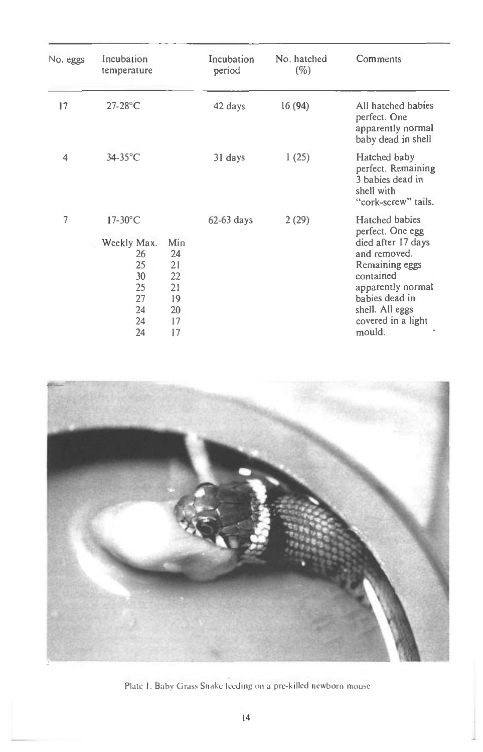| No. eggs       | Incubation<br>temperature                                                 |                                                     | Incubation<br>period | No. hatched<br>$(\%)$ | Comments                                                                                                                                                                                          |
|----------------|---------------------------------------------------------------------------|-----------------------------------------------------|----------------------|-----------------------|---------------------------------------------------------------------------------------------------------------------------------------------------------------------------------------------------|
| 17             | $27-28$ °C                                                                |                                                     | 42 days              | 16(94)                | All hatched babies<br>perfect. One<br>apparently normal<br>baby dead in shell                                                                                                                     |
| $\overline{4}$ | $34-35$ °C                                                                |                                                     | 31 days              | 1(25)                 | Hatched baby<br>perfect. Remaining<br>3 babies dead in<br>shell with<br>"cork-screw" tails.                                                                                                       |
| 7              | $17-30$ °C<br>Weekly Max.<br>26<br>25<br>30<br>25<br>27<br>24<br>24<br>24 | Min<br>24<br>21<br>22<br>21<br>19<br>20<br>17<br>17 | $62-63$ days         | 2(29)                 | Hatched babies<br>perfect. One egg<br>died after 17 days<br>and removed.<br>Remaining eggs<br>contained<br>apparently normal<br>babies dead in<br>shell. All eggs<br>covered in a light<br>mould. |



Plate I. Baby Grass Snake leeding on a pre-killed newborn mouse